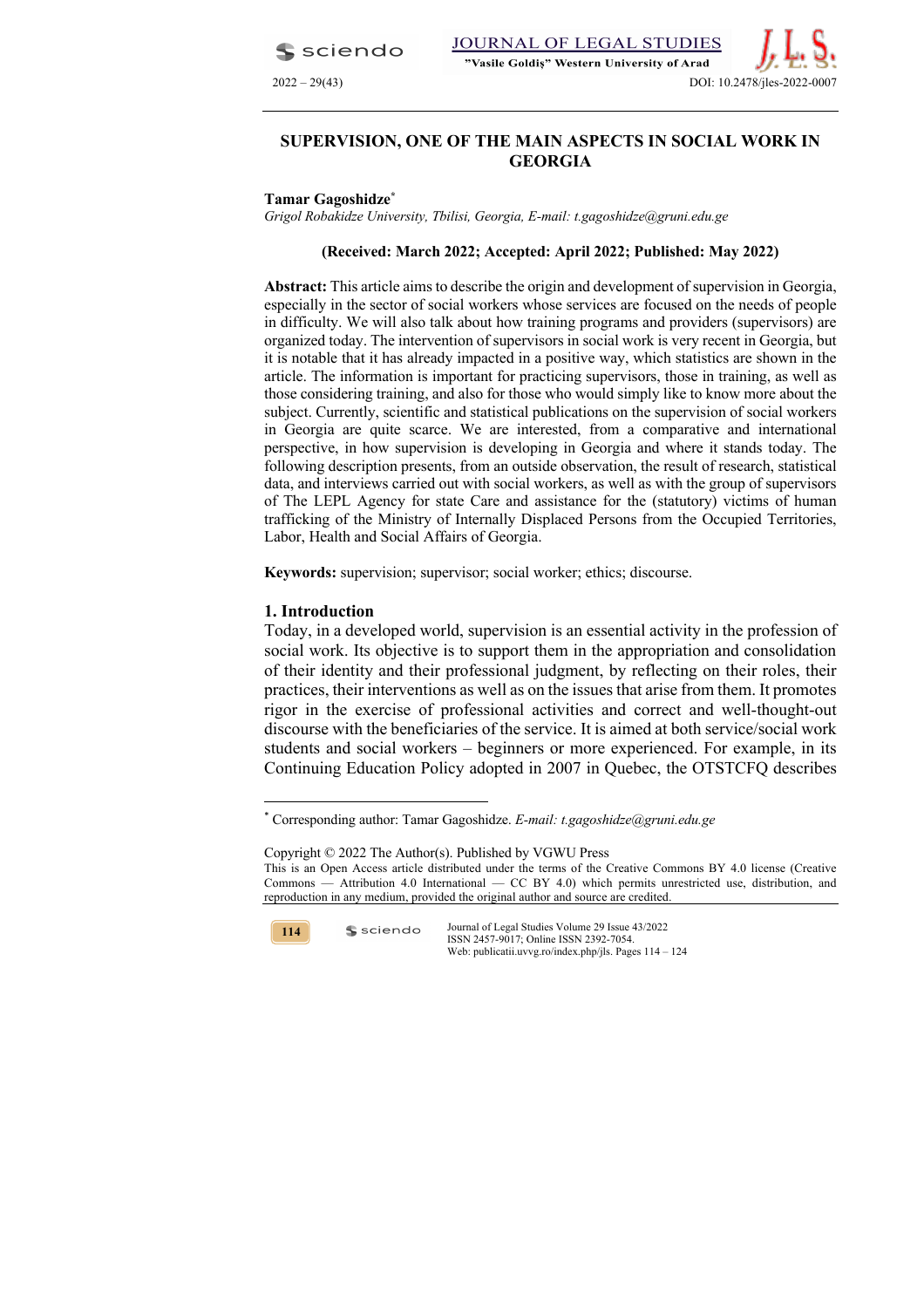sciendo



# **SUPERVISION, ONE OF THE MAIN ASPECTS IN SOCIAL WORK IN GEORGIA**

#### **Tamar Gagoshidze\***

*Grigol Robakidze University, Tbilisi, Georgia, E-mail: t.gagoshidze@gruni.edu.ge*

#### **(Received: March 2022; Accepted: April 2022; Published: May 2022)**

**Abstract:** This article aims to describe the origin and development of supervision in Georgia, especially in the sector of social workers whose services are focused on the needs of people in difficulty. We will also talk about how training programs and providers (supervisors) are organized today. The intervention of supervisors in social work is very recent in Georgia, but it is notable that it has already impacted in a positive way, which statistics are shown in the article. The information is important for practicing supervisors, those in training, as well as those considering training, and also for those who would simply like to know more about the subject. Currently, scientific and statistical publications on the supervision of social workers in Georgia are quite scarce. We are interested, from a comparative and international perspective, in how supervision is developing in Georgia and where it stands today. The following description presents, from an outside observation, the result of research, statistical data, and interviews carried out with social workers, as well as with the group of supervisors of The LEPL Agency for state Сare and assistance for the (statutory) victims of human trafficking of the Ministry of Internally Displaced Persons from the Occupied Territories, Labor, Health and Social Affairs of Georgia.

**Keywords:** supervision; supervisor; social worker; ethics; discourse.

### **1. Introduction**

Today, in a developed world, supervision is an essential activity in the profession of social work. Its objective is to support them in the appropriation and consolidation of their identity and their professional judgment, by reflecting on their roles, their practices, their interventions as well as on the issues that arise from them. It promotes rigor in the exercise of professional activities and correct and well-thought-out discourse with the beneficiaries of the service. It is aimed at both service/social work students and social workers – beginners or more experienced. For example, in its Continuing Education Policy adopted in 2007 in Quebec, the OTSTCFQ describes

Copyright © 2022 The Author(s). Published by VGWU Press This is an Open Access article distributed under the terms of the Creative Commons BY 4.0 license (Creative Commons — Attribution 4.0 International — CC BY 4.0) which permits unrestricted use, distribution, and reproduction in any medium, provided the original author and source are credited.



sciendo

<sup>\*</sup> Corresponding author: Tamar Gagoshidze. *E-mail: t.gagoshidze@gruni.edu.ge*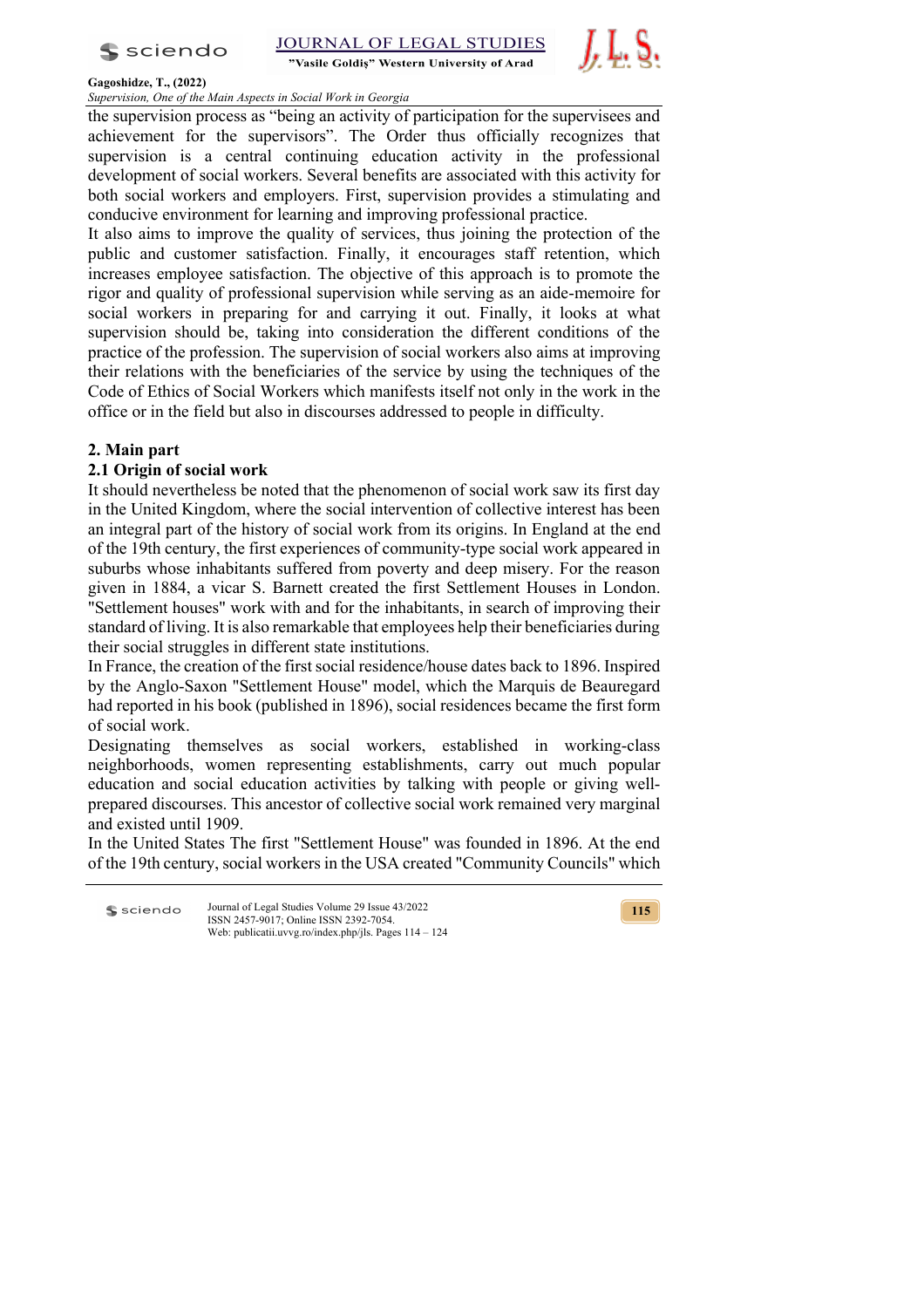$s$  sciendo

"Vasile Goldis" Western University of Arad



#### **Gagoshidze, T., (2022)**

*Supervision, One of the Main Aspects in Social Work in Georgia*

the supervision process as "being an activity of participation for the supervisees and achievement for the supervisors". The Order thus officially recognizes that supervision is a central continuing education activity in the professional development of social workers. Several benefits are associated with this activity for both social workers and employers. First, supervision provides a stimulating and conducive environment for learning and improving professional practice.

It also aims to improve the quality of services, thus joining the protection of the public and customer satisfaction. Finally, it encourages staff retention, which increases employee satisfaction. The objective of this approach is to promote the rigor and quality of professional supervision while serving as an aide-memoire for social workers in preparing for and carrying it out. Finally, it looks at what supervision should be, taking into consideration the different conditions of the practice of the profession. The supervision of social workers also aims at improving their relations with the beneficiaries of the service by using the techniques of the Code of Ethics of Social Workers which manifests itself not only in the work in the office or in the field but also in discourses addressed to people in difficulty.

# **2. Main part**

# **2.1 Origin of social work**

It should nevertheless be noted that the phenomenon of social work saw its first day in the United Kingdom, where the social intervention of collective interest has been an integral part of the history of social work from its origins. In England at the end of the 19th century, the first experiences of community-type social work appeared in suburbs whose inhabitants suffered from poverty and deep misery. For the reason given in 1884, a vicar S. Barnett created the first Settlement Houses in London. "Settlement houses" work with and for the inhabitants, in search of improving their standard of living. It is also remarkable that employees help their beneficiaries during their social struggles in different state institutions.

In France, the creation of the first social residence/house dates back to 1896. Inspired by the Anglo-Saxon "Settlement House" model, which the Marquis de Beauregard had reported in his book (published in 1896), social residences became the first form of social work.

Designating themselves as social workers, established in working-class neighborhoods, women representing establishments, carry out much popular education and social education activities by talking with people or giving wellprepared discourses. This ancestor of collective social work remained very marginal and existed until 1909.

In the United States The first "Settlement House" was founded in 1896. At the end of the 19th century, social workers in the USA created "Community Councils" which

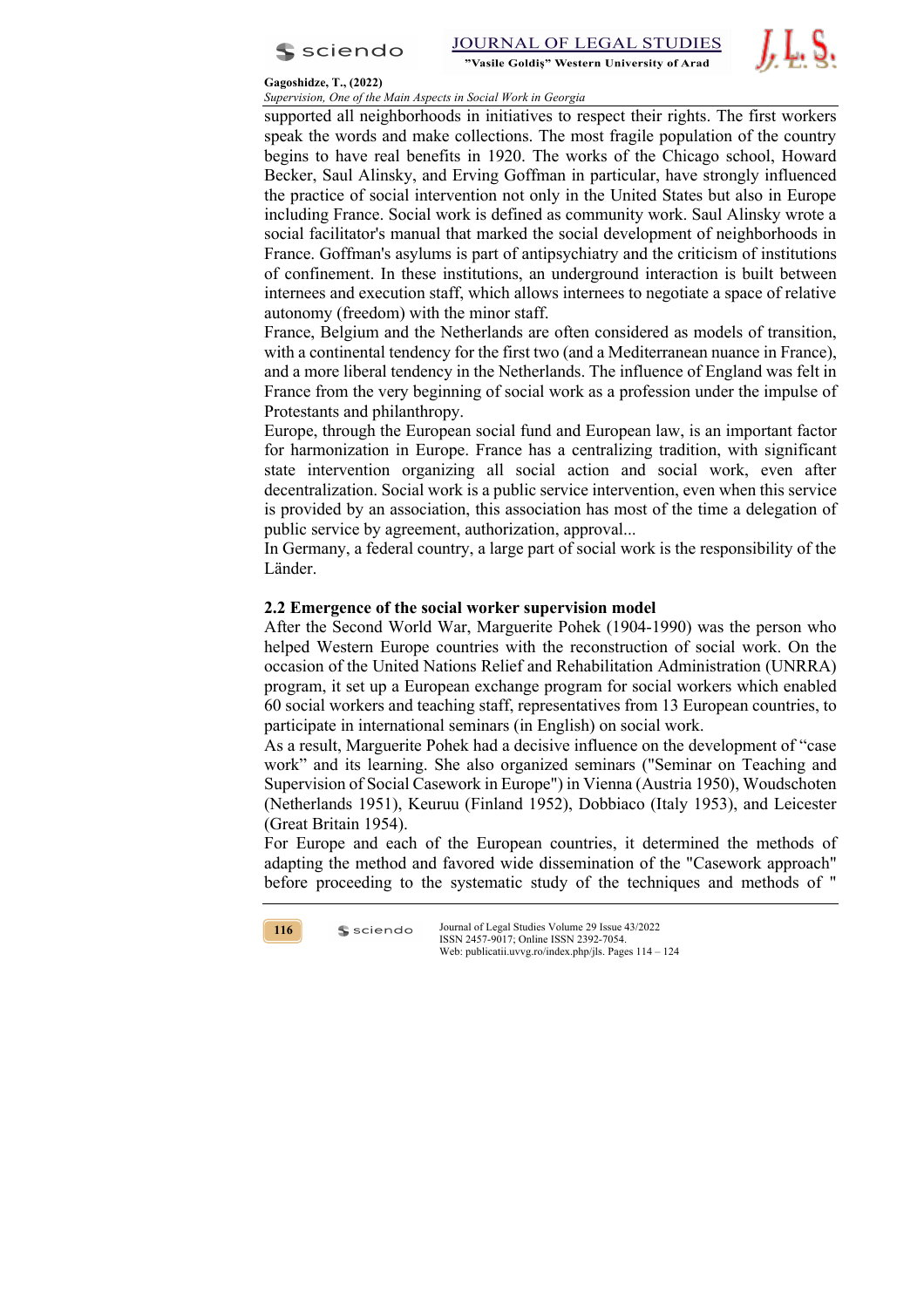



#### **Gagoshidze, T., (2022)**

*Supervision, One of the Main Aspects in Social Work in Georgia* supported all neighborhoods in initiatives to respect their rights. The first workers speak the words and make collections. The most fragile population of the country begins to have real benefits in 1920. The works of the Chicago school, Howard Becker, Saul Alinsky, and Erving Goffman in particular, have strongly influenced the practice of social intervention not only in the United States but also in Europe including France. Social work is defined as community work. Saul Alinsky wrote a social facilitator's manual that marked the social development of neighborhoods in France. Goffman's asylums is part of antipsychiatry and the criticism of institutions of confinement. In these institutions, an underground interaction is built between internees and execution staff, which allows internees to negotiate a space of relative autonomy (freedom) with the minor staff.

France, Belgium and the Netherlands are often considered as models of transition, with a continental tendency for the first two (and a Mediterranean nuance in France), and a more liberal tendency in the Netherlands. The influence of England was felt in France from the very beginning of social work as a profession under the impulse of Protestants and philanthropy.

Europe, through the European social fund and European law, is an important factor for harmonization in Europe. France has a centralizing tradition, with significant state intervention organizing all social action and social work, even after decentralization. Social work is a public service intervention, even when this service is provided by an association, this association has most of the time a delegation of public service by agreement, authorization, approval...

In Germany, a federal country, a large part of social work is the responsibility of the Länder.

### **2.2 Emergence of the social worker supervision model**

After the Second World War, Marguerite Pohek (1904-1990) was the person who helped Western Europe countries with the reconstruction of social work. On the occasion of the United Nations Relief and Rehabilitation Administration (UNRRA) program, it set up a European exchange program for social workers which enabled 60 social workers and teaching staff, representatives from 13 European countries, to participate in international seminars (in English) on social work.

As a result, Marguerite Pohek had a decisive influence on the development of "case work" and its learning. She also organized seminars ("Seminar on Teaching and Supervision of Social Casework in Europe") in Vienna (Austria 1950), Woudschoten (Netherlands 1951), Keuruu (Finland 1952), Dobbiaco (Italy 1953), and Leicester (Great Britain 1954).

For Europe and each of the European countries, it determined the methods of adapting the method and favored wide dissemination of the "Casework approach" before proceeding to the systematic study of the techniques and methods of "

**116**

 $s$  sciendo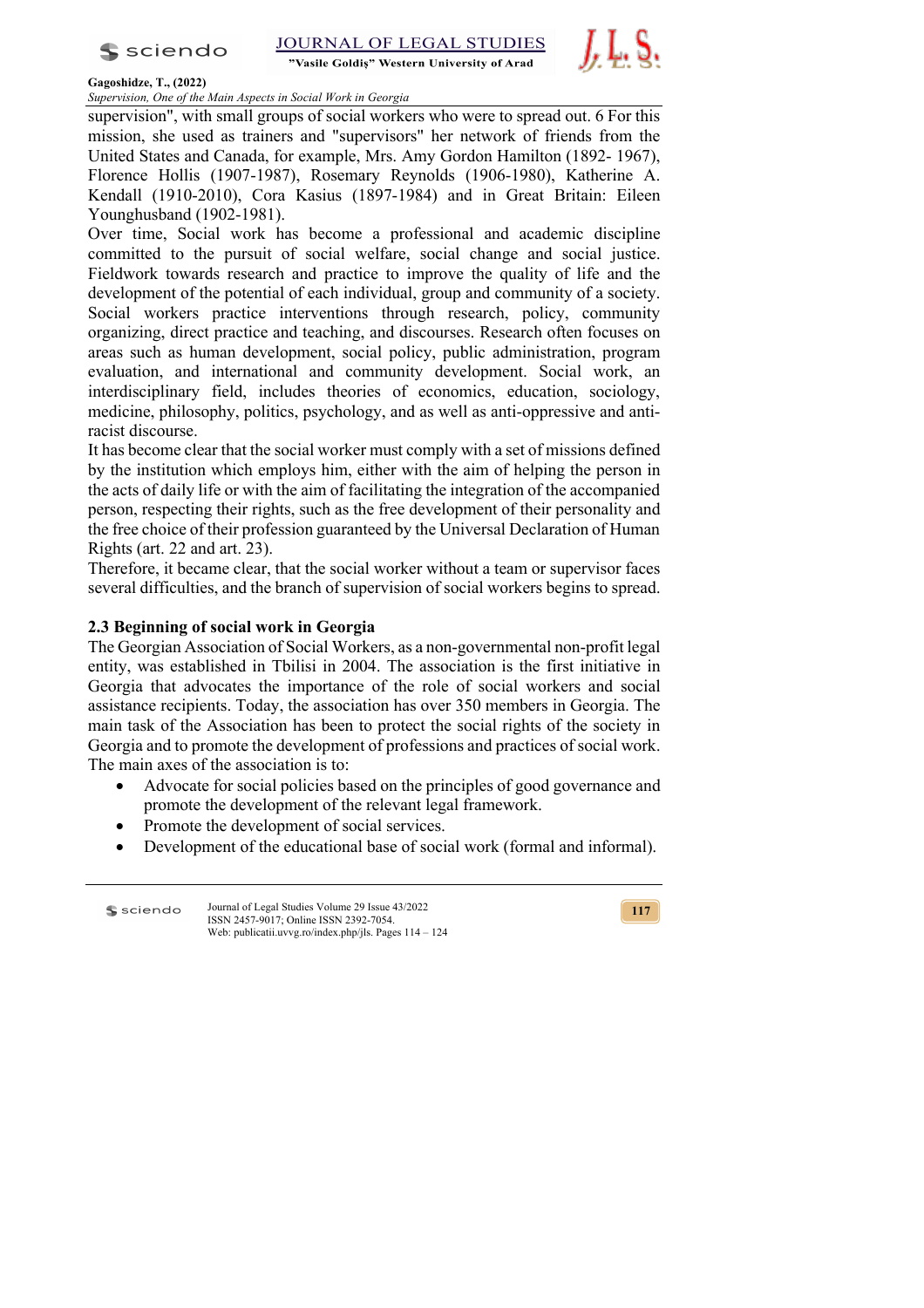

"Vasile Goldis" Western University of Arad



#### **Gagoshidze, T., (2022)**

*Supervision, One of the Main Aspects in Social Work in Georgia*

supervision", with small groups of social workers who were to spread out. 6 For this mission, she used as trainers and "supervisors" her network of friends from the United States and Canada, for example, Mrs. Amy Gordon Hamilton (1892- 1967), Florence Hollis (1907-1987), Rosemary Reynolds (1906-1980), Katherine A. Kendall (1910-2010), Cora Kasius (1897-1984) and in Great Britain: Eileen Younghusband (1902-1981).

Over time, Social work has become a professional and academic discipline committed to the pursuit of social welfare, social change and social justice. Fieldwork towards research and practice to improve the quality of life and the development of the potential of each individual, group and community of a society. Social workers practice interventions through research, policy, community organizing, direct practice and teaching, and discourses. Research often focuses on areas such as human development, social policy, public administration, program evaluation, and international and community development. Social work, an interdisciplinary field, includes theories of economics, education, sociology, medicine, philosophy, politics, psychology, and as well as anti-oppressive and antiracist discourse.

It has become clear that the social worker must comply with a set of missions defined by the institution which employs him, either with the aim of helping the person in the acts of daily life or with the aim of facilitating the integration of the accompanied person, respecting their rights, such as the free development of their personality and the free choice of their profession guaranteed by the Universal Declaration of Human Rights (art. 22 and art. 23).

Therefore, it became clear, that the social worker without a team or supervisor faces several difficulties, and the branch of supervision of social workers begins to spread.

## **2.3 Beginning of social work in Georgia**

The Georgian Association of Social Workers, as a non-governmental non-profit legal entity, was established in Tbilisi in 2004. The association is the first initiative in Georgia that advocates the importance of the role of social workers and social assistance recipients. Today, the association has over 350 members in Georgia. The main task of the Association has been to protect the social rights of the society in Georgia and to promote the development of professions and practices of social work. The main axes of the association is to:

- Advocate for social policies based on the principles of good governance and promote the development of the relevant legal framework.
- Promote the development of social services.
- Development of the educational base of social work (formal and informal).

Journal of Legal Studies Volume 29 Issue 43/2022 **S** sciendo ISSN 2457-9017; Online ISSN 2392-7054. Web: publicatii.uvvg.ro/index.php/jls. Pages 114 – 124

**117**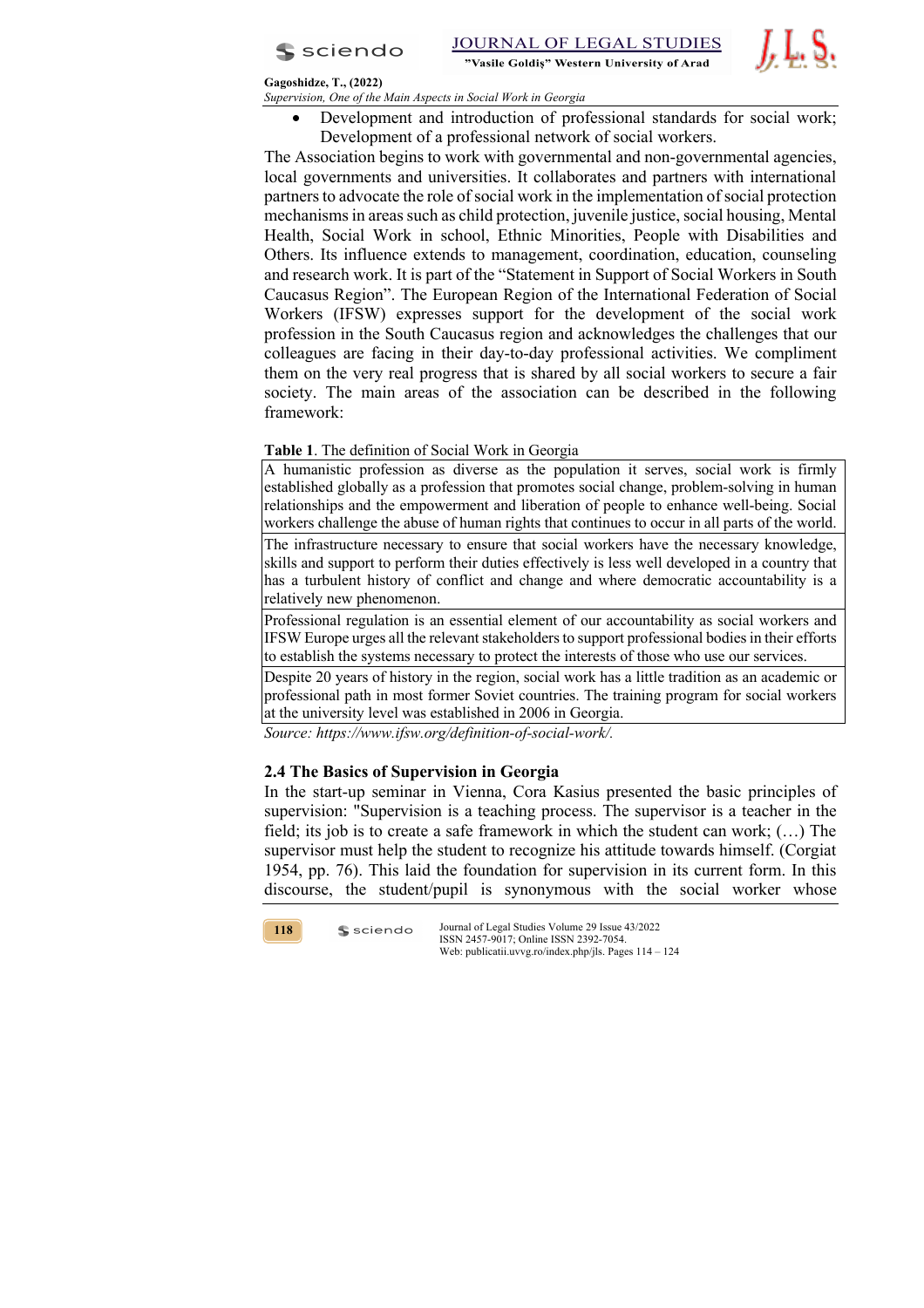

JOURNAL OF LEGAL STUDIES "Vasile Goldis" Western University of Arad



### **Gagoshidze, T., (2022)**

*Supervision, One of the Main Aspects in Social Work in Georgia*

• Development and introduction of professional standards for social work; Development of a professional network of social workers.

The Association begins to work with governmental and non-governmental agencies, local governments and universities. It collaborates and partners with international partners to advocate the role of social work in the implementation of social protection mechanisms in areas such as child protection, juvenile justice, social housing, Mental Health, Social Work in school, Ethnic Minorities, People with Disabilities and Others. Its influence extends to management, coordination, education, counseling and research work. It is part of the "Statement in Support of Social Workers in South Caucasus Region". The European Region of the International Federation of Social Workers (IFSW) expresses support for the development of the social work profession in the South Caucasus region and acknowledges the challenges that our colleagues are facing in their day-to-day professional activities. We compliment them on the very real progress that is shared by all social workers to secure a fair society. The main areas of the association can be described in the following framework:

### **Table 1**. The definition of Social Work in Georgia

A humanistic profession as diverse as the population it serves, social work is firmly established globally as a profession that promotes social change, problem-solving in human relationships and the empowerment and liberation of people to enhance well-being. Social workers challenge the abuse of human rights that continues to occur in all parts of the world.

The infrastructure necessary to ensure that social workers have the necessary knowledge, skills and support to perform their duties effectively is less well developed in a country that has a turbulent history of conflict and change and where democratic accountability is a relatively new phenomenon.

Professional regulation is an essential element of our accountability as social workers and IFSW Europe urges all the relevant stakeholders to support professional bodies in their efforts to establish the systems necessary to protect the interests of those who use our services.

Despite 20 years of history in the region, social work has a little tradition as an academic or professional path in most former Soviet countries. The training program for social workers at the university level was established in 2006 in Georgia.

*Source: https://www.ifsw.org/definition-of-social-work/.*

### **2.4 The Basics of Supervision in Georgia**

 $s$  sciendo

In the start-up seminar in Vienna, Cora Kasius presented the basic principles of supervision: "Supervision is a teaching process. The supervisor is a teacher in the field; its job is to create a safe framework in which the student can work;  $(...)$  The supervisor must help the student to recognize his attitude towards himself. (Corgiat 1954, pp. 76). This laid the foundation for supervision in its current form. In this discourse, the student/pupil is synonymous with the social worker whose

**118**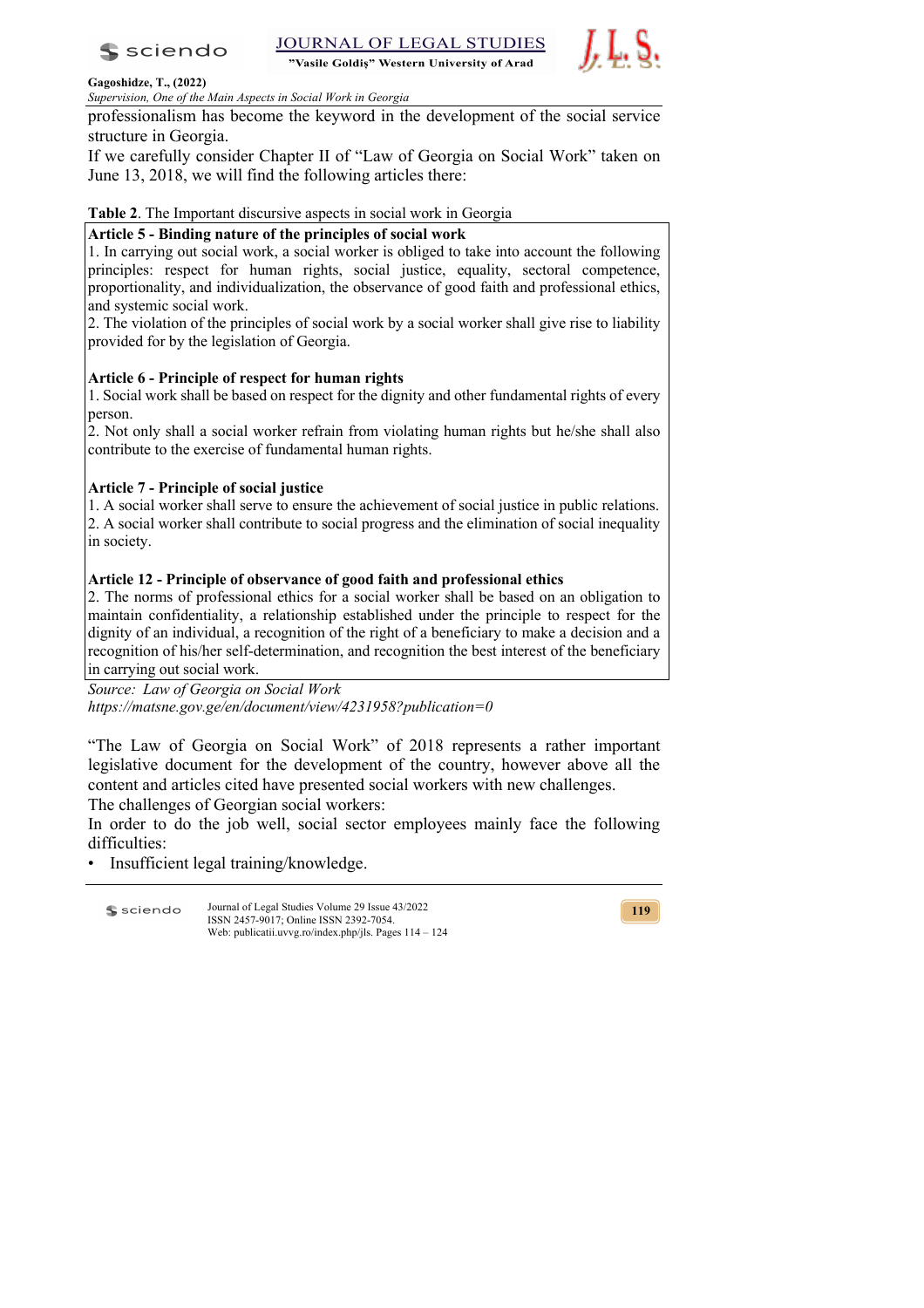

"Vasile Goldis" Western University of Arad



### **Gagoshidze, T., (2022)**

*Supervision, One of the Main Aspects in Social Work in Georgia*

professionalism has become the keyword in the development of the social service structure in Georgia.

If we carefully consider Chapter II of "Law of Georgia on Social Work" taken on June 13, 2018, we will find the following articles there:

**Table 2**. The Important discursive aspects in social work in Georgia

### **Article 5 - Binding nature of the principles of social work**

1. In carrying out social work, a social worker is obliged to take into account the following principles: respect for human rights, social justice, equality, sectoral competence, proportionality, and individualization, the observance of good faith and professional ethics, and systemic social work.

2. The violation of the principles of social work by a social worker shall give rise to liability provided for by the legislation of Georgia.

## **Article 6 - Principle of respect for human rights**

1. Social work shall be based on respect for the dignity and other fundamental rights of every person.

2. Not only shall a social worker refrain from violating human rights but he/she shall also contribute to the exercise of fundamental human rights.

# **Article 7 - Principle of social justice**

1. A social worker shall serve to ensure the achievement of social justice in public relations. 2. A social worker shall contribute to social progress and the elimination of social inequality in society.

## **Article 12 - Principle of observance of good faith and professional ethics**

2. The norms of professional ethics for a social worker shall be based on an obligation to maintain confidentiality, a relationship established under the principle to respect for the dignity of an individual, a recognition of the right of a beneficiary to make a decision and a recognition of his/her self-determination, and recognition the best interest of the beneficiary in carrying out social work.

*Source: Law of Georgia on Social Work https://matsne.gov.ge/en/document/view/4231958?publication=0*

"The Law of Georgia on Social Work" of 2018 represents a rather important legislative document for the development of the country, however above all the content and articles cited have presented social workers with new challenges.

The challenges of Georgian social workers:

In order to do the job well, social sector employees mainly face the following difficulties:

• Insufficient legal training/knowledge.

Journal of Legal Studies Volume 29 Issue 43/2022 **S** sciendo ISSN 2457-9017; Online ISSN 2392-7054. Web: publicatii.uvvg.ro/index.php/jls. Pages 114 – 124

**119**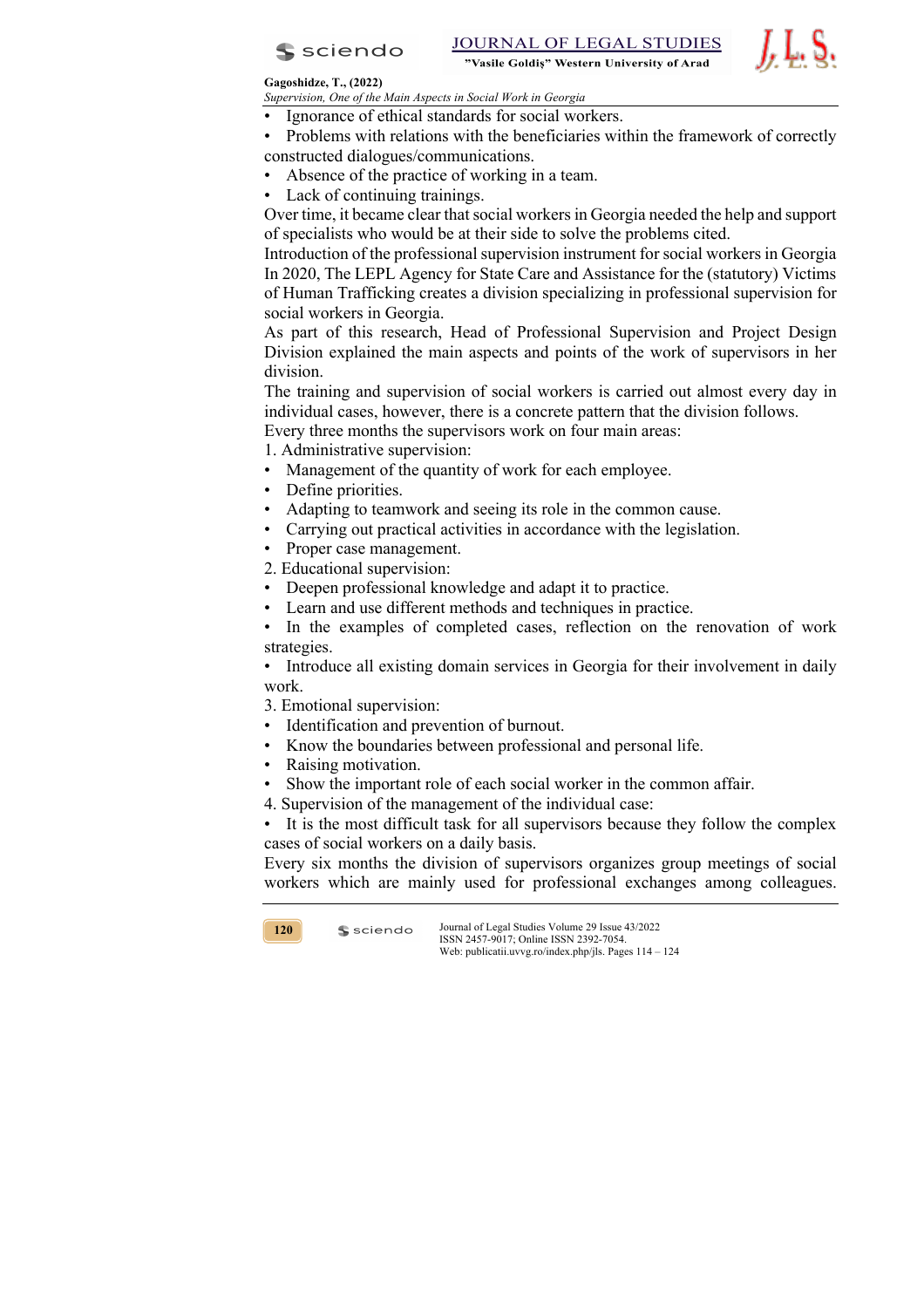

JOURNAL OF LEGAL STUDIES "Vasile Goldis" Western University of Arad

### **Gagoshidze, T., (2022)**

*Supervision, One of the Main Aspects in Social Work in Georgia*

- Ignorance of ethical standards for social workers.
- Problems with relations with the beneficiaries within the framework of correctly constructed dialogues/communications.
- Absence of the practice of working in a team.
- Lack of continuing trainings.

Over time, it became clear that social workers in Georgia needed the help and support of specialists who would be at their side to solve the problems cited.

Introduction of the professional supervision instrument for social workers in Georgia In 2020, The LEPL Agency for State Care and Assistance for the (statutory) Victims of Human Trafficking creates a division specializing in professional supervision for social workers in Georgia.

As part of this research, Head of Professional Supervision and Project Design Division explained the main aspects and points of the work of supervisors in her division.

The training and supervision of social workers is carried out almost every day in individual cases, however, there is a concrete pattern that the division follows.

Every three months the supervisors work on four main areas:

1. Administrative supervision:

- Management of the quantity of work for each employee.
- Define priorities.
- Adapting to teamwork and seeing its role in the common cause.
- Carrying out practical activities in accordance with the legislation.
- Proper case management.
- 2. Educational supervision:
- Deepen professional knowledge and adapt it to practice.
- Learn and use different methods and techniques in practice.

In the examples of completed cases, reflection on the renovation of work strategies.

• Introduce all existing domain services in Georgia for their involvement in daily work.

3. Emotional supervision:

- Identification and prevention of burnout.
- Know the boundaries between professional and personal life.
- Raising motivation.

 $s$  sciendo

- Show the important role of each social worker in the common affair.
- 4. Supervision of the management of the individual case:

It is the most difficult task for all supervisors because they follow the complex cases of social workers on a daily basis.

Every six months the division of supervisors organizes group meetings of social workers which are mainly used for professional exchanges among colleagues.

**120**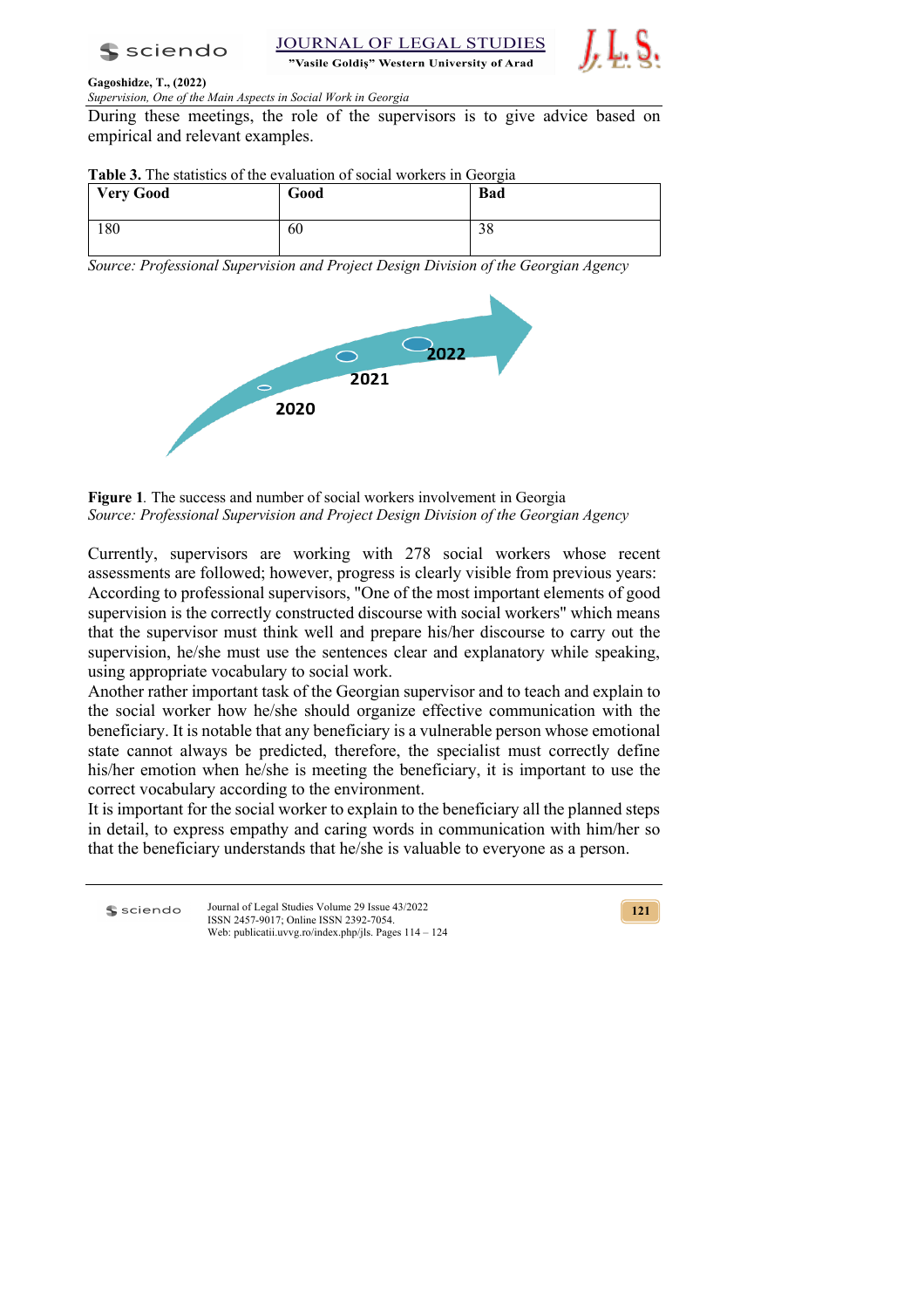

**JOURNAL OF LEGAL STUDIES** "Vasile Goldis" Western University of Arad



### **Gagoshidze, T., (2022)**

*Supervision, One of the Main Aspects in Social Work in Georgia*

During these meetings, the role of the supervisors is to give advice based on empirical and relevant examples.

| Table 3. The statistics of the evaluation of social workers in Georgia |  |  |  |  |  |
|------------------------------------------------------------------------|--|--|--|--|--|
|------------------------------------------------------------------------|--|--|--|--|--|

| <b>Very Good</b> | Good | <b>Bad</b> |
|------------------|------|------------|
| 180              | 60   | 20<br>20   |

*Source: Professional Supervision and Project Design Division of the Georgian Agency*



**Figure 1***.* The success and number of social workers involvement in Georgia *Source: Professional Supervision and Project Design Division of the Georgian Agency*

Currently, supervisors are working with 278 social workers whose recent assessments are followed; however, progress is clearly visible from previous years: According to professional supervisors, "One of the most important elements of good supervision is the correctly constructed discourse with social workers" which means that the supervisor must think well and prepare his/her discourse to carry out the supervision, he/she must use the sentences clear and explanatory while speaking, using appropriate vocabulary to social work.

Another rather important task of the Georgian supervisor and to teach and explain to the social worker how he/she should organize effective communication with the beneficiary. It is notable that any beneficiary is a vulnerable person whose emotional state cannot always be predicted, therefore, the specialist must correctly define his/her emotion when he/she is meeting the beneficiary, it is important to use the correct vocabulary according to the environment.

It is important for the social worker to explain to the beneficiary all the planned steps in detail, to express empathy and caring words in communication with him/her so that the beneficiary understands that he/she is valuable to everyone as a person.

**S** sciendo

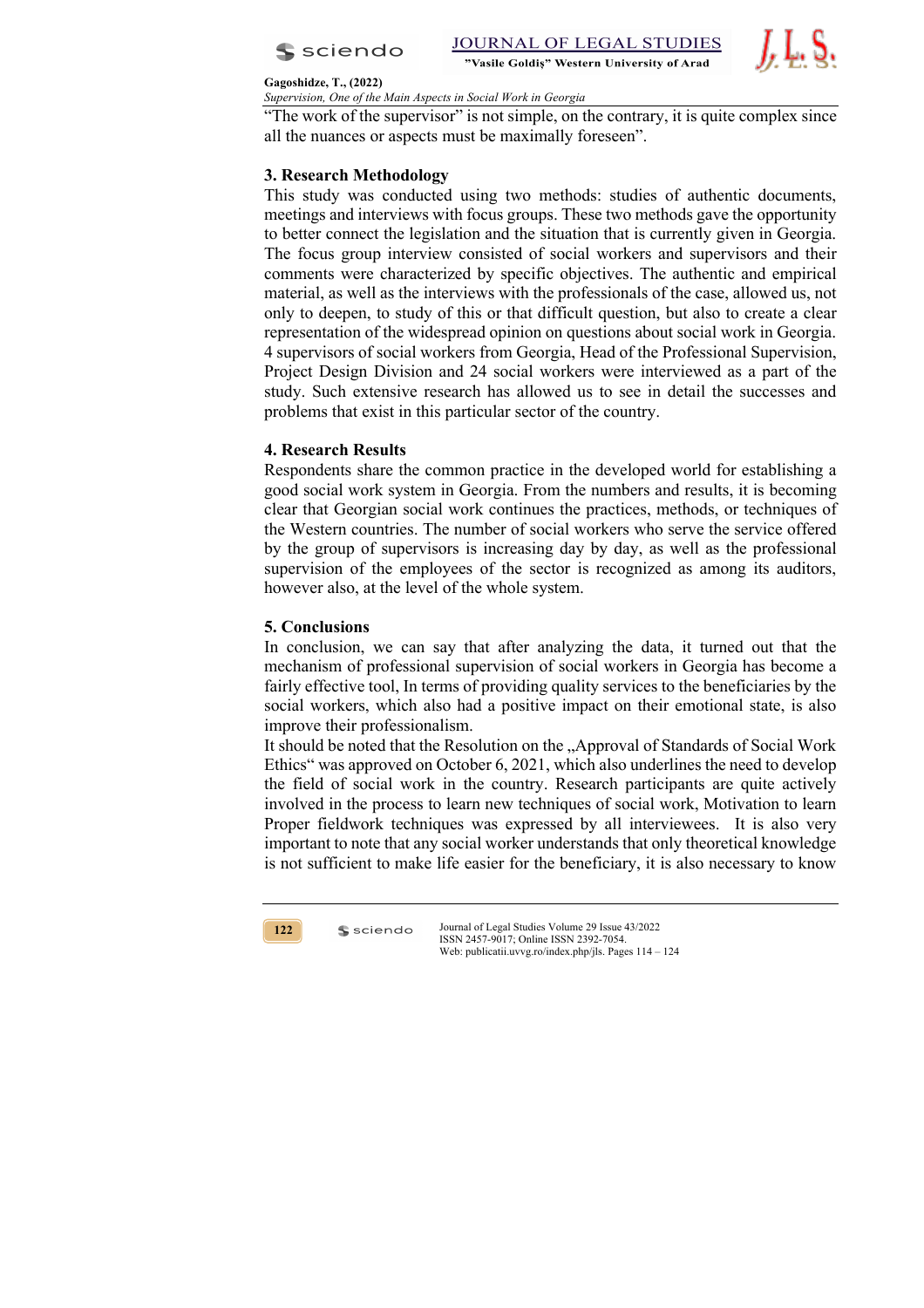

JOURNAL OF LEGAL STUDIES "Vasile Goldis" Western University of Arad



#### **Gagoshidze, T., (2022)**

*Supervision, One of the Main Aspects in Social Work in Georgia*

"The work of the supervisor" is not simple, on the contrary, it is quite complex since all the nuances or aspects must be maximally foreseen".

# **3. Research Methodology**

This study was conducted using two methods: studies of authentic documents, meetings and interviews with focus groups. These two methods gave the opportunity to better connect the legislation and the situation that is currently given in Georgia. The focus group interview consisted of social workers and supervisors and their comments were characterized by specific objectives. The authentic and empirical material, as well as the interviews with the professionals of the case, allowed us, not only to deepen, to study of this or that difficult question, but also to create a clear representation of the widespread opinion on questions about social work in Georgia. 4 supervisors of social workers from Georgia, Head of the Professional Supervision, Project Design Division and 24 social workers were interviewed as a part of the study. Such extensive research has allowed us to see in detail the successes and problems that exist in this particular sector of the country.

## **4. Research Results**

Respondents share the common practice in the developed world for establishing a good social work system in Georgia. From the numbers and results, it is becoming clear that Georgian social work continues the practices, methods, or techniques of the Western countries. The number of social workers who serve the service offered by the group of supervisors is increasing day by day, as well as the professional supervision of the employees of the sector is recognized as among its auditors, however also, at the level of the whole system.

### **5. Conclusions**

In conclusion, we can say that after analyzing the data, it turned out that the mechanism of professional supervision of social workers in Georgia has become a fairly effective tool, In terms of providing quality services to the beneficiaries by the social workers, which also had a positive impact on their emotional state, is also improve their professionalism.

It should be noted that the Resolution on the "Approval of Standards of Social Work Ethics" was approved on October 6, 2021, which also underlines the need to develop the field of social work in the country. Research participants are quite actively involved in the process to learn new techniques of social work, Motivation to learn Proper fieldwork techniques was expressed by all interviewees. It is also very important to note that any social worker understands that only theoretical knowledge is not sufficient to make life easier for the beneficiary, it is also necessary to know



 $s$  sciendo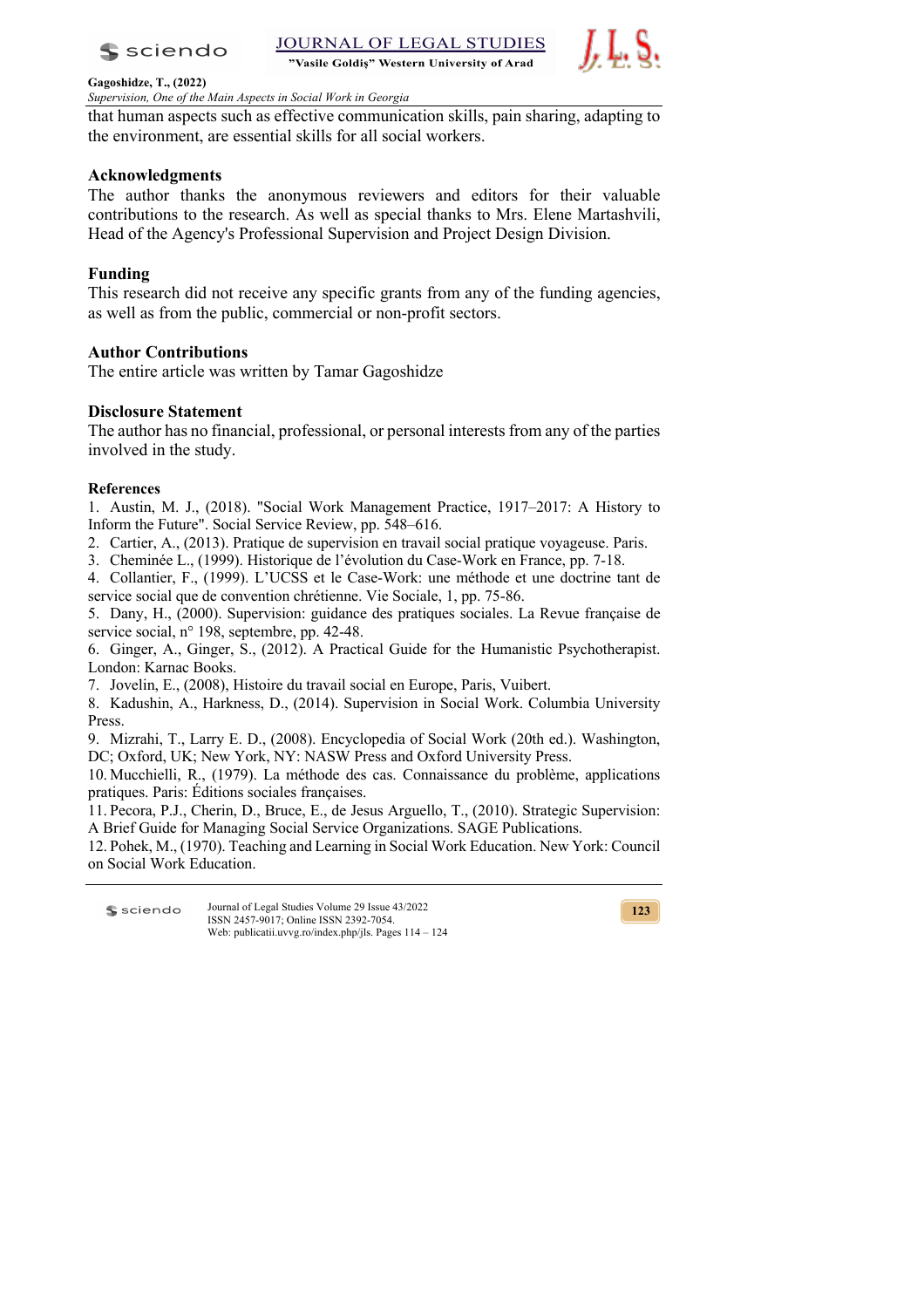

"Vasile Goldis" Western University of Arad



**Gagoshidze, T., (2022)**

*Supervision, One of the Main Aspects in Social Work in Georgia*

that human aspects such as effective communication skills, pain sharing, adapting to the environment, are essential skills for all social workers.

# **Acknowledgments**

The author thanks the anonymous reviewers and editors for their valuable contributions to the research. As well as special thanks to Mrs. Elene Martashvili, Head of the Agency's Professional Supervision and Project Design Division.

# **Funding**

This research did not receive any specific grants from any of the funding agencies, as well as from the public, commercial or non-profit sectors.

# **Author Contributions**

The entire article was written by Tamar Gagoshidze

# **Disclosure Statement**

The author has no financial, professional, or personal interests from any of the parties involved in the study.

## **References**

1. Austin, M. J., (2018). "Social Work Management Practice, 1917–2017: A History to Inform the Future". Social Service Review, pp. 548–616.

- 2. Cartier, A., (2013). Pratique de supervision en travail social pratique voyageuse. Paris.
- 3. Cheminée L., (1999). Historique de l'évolution du Case-Work en France, pp. 7-18.

4. Collantier, F., (1999). L'UCSS et le Case-Work: une méthode et une doctrine tant de service social que de convention chrétienne. Vie Sociale, 1, pp. 75-86.

5. Dany, H., (2000). Supervision: guidance des pratiques sociales. La Revue française de service social, n° 198, septembre, pp. 42-48.

6. Ginger, A., Ginger, S., (2012). A Practical Guide for the Humanistic Psychotherapist. London: Karnac Books.

7. Jovelin, E., (2008), Histoire du travail social en Europe, Paris, Vuibert.

8. Kadushin, A., Harkness, D., (2014). Supervision in Social Work. Columbia University Press.

9. Mizrahi, T., Larry E. D., (2008). Encyclopedia of Social Work (20th ed.). Washington, DC; Oxford, UK; New York, NY: NASW Press and Oxford University Press.

10. Mucchielli, R., (1979). La méthode des cas. Connaissance du problème, applications pratiques. Paris: Éditions sociales françaises.

11. Pecora, P.J., Cherin, D., Bruce, E., de Jesus Arguello, T., (2010). Strategic Supervision: A Brief Guide for Managing Social Service Organizations. SAGE Publications.

12. Pohek, M., (1970). Teaching and Learning in Social Work Education. New York: Council on Social Work Education.

Journal of Legal Studies Volume 29 Issue 43/2022 **S** sciendo ISSN 2457-9017; Online ISSN 2392-7054. Web: publicatii.uvvg.ro/index.php/jls. Pages 114 – 124

**123**